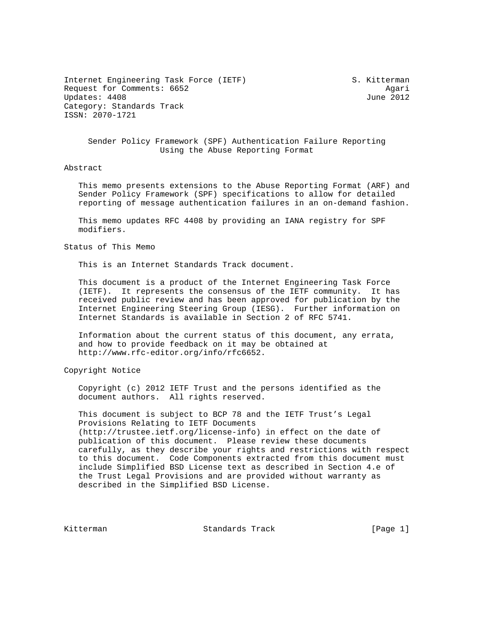Internet Engineering Task Force (IETF) S. Kitterman Request for Comments: 6652 Agari Updates: 4408 June 2012 Category: Standards Track ISSN: 2070-1721

## Sender Policy Framework (SPF) Authentication Failure Reporting Using the Abuse Reporting Format

### Abstract

 This memo presents extensions to the Abuse Reporting Format (ARF) and Sender Policy Framework (SPF) specifications to allow for detailed reporting of message authentication failures in an on-demand fashion.

 This memo updates RFC 4408 by providing an IANA registry for SPF modifiers.

#### Status of This Memo

This is an Internet Standards Track document.

 This document is a product of the Internet Engineering Task Force (IETF). It represents the consensus of the IETF community. It has received public review and has been approved for publication by the Internet Engineering Steering Group (IESG). Further information on Internet Standards is available in Section 2 of RFC 5741.

 Information about the current status of this document, any errata, and how to provide feedback on it may be obtained at http://www.rfc-editor.org/info/rfc6652.

## Copyright Notice

 Copyright (c) 2012 IETF Trust and the persons identified as the document authors. All rights reserved.

 This document is subject to BCP 78 and the IETF Trust's Legal Provisions Relating to IETF Documents (http://trustee.ietf.org/license-info) in effect on the date of publication of this document. Please review these documents carefully, as they describe your rights and restrictions with respect to this document. Code Components extracted from this document must include Simplified BSD License text as described in Section 4.e of the Trust Legal Provisions and are provided without warranty as described in the Simplified BSD License.

Kitterman Standards Track [Page 1]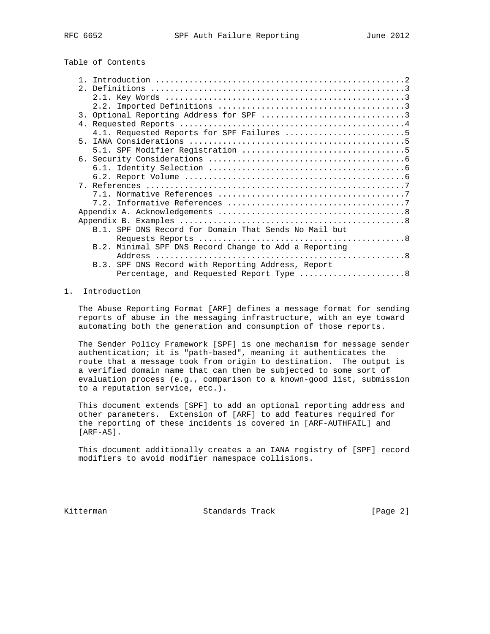# Table of Contents

| B.1. SPF DNS Record for Domain That Sends No Mail but |  |
|-------------------------------------------------------|--|
|                                                       |  |
| B.2. Minimal SPF DNS Record Change to Add a Reporting |  |
|                                                       |  |
| B.3. SPF DNS Record with Reporting Address, Report    |  |
| Percentage, and Requested Report Type  8              |  |

## 1. Introduction

 The Abuse Reporting Format [ARF] defines a message format for sending reports of abuse in the messaging infrastructure, with an eye toward automating both the generation and consumption of those reports.

 The Sender Policy Framework [SPF] is one mechanism for message sender authentication; it is "path-based", meaning it authenticates the route that a message took from origin to destination. The output is a verified domain name that can then be subjected to some sort of evaluation process (e.g., comparison to a known-good list, submission to a reputation service, etc.).

 This document extends [SPF] to add an optional reporting address and other parameters. Extension of [ARF] to add features required for the reporting of these incidents is covered in [ARF-AUTHFAIL] and [ARF-AS].

 This document additionally creates a an IANA registry of [SPF] record modifiers to avoid modifier namespace collisions.

Kitterman Standards Track [Page 2]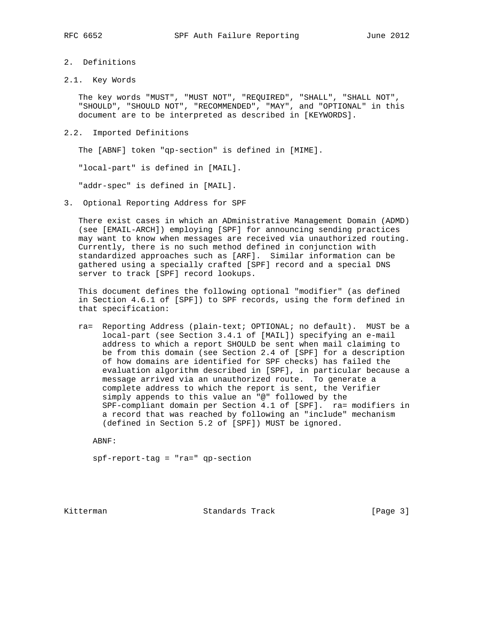## 2. Definitions

2.1. Key Words

 The key words "MUST", "MUST NOT", "REQUIRED", "SHALL", "SHALL NOT", "SHOULD", "SHOULD NOT", "RECOMMENDED", "MAY", and "OPTIONAL" in this document are to be interpreted as described in [KEYWORDS].

2.2. Imported Definitions

The [ABNF] token "qp-section" is defined in [MIME].

"local-part" is defined in [MAIL].

"addr-spec" is defined in [MAIL].

3. Optional Reporting Address for SPF

 There exist cases in which an ADministrative Management Domain (ADMD) (see [EMAIL-ARCH]) employing [SPF] for announcing sending practices may want to know when messages are received via unauthorized routing. Currently, there is no such method defined in conjunction with standardized approaches such as [ARF]. Similar information can be gathered using a specially crafted [SPF] record and a special DNS server to track [SPF] record lookups.

 This document defines the following optional "modifier" (as defined in Section 4.6.1 of [SPF]) to SPF records, using the form defined in that specification:

 ra= Reporting Address (plain-text; OPTIONAL; no default). MUST be a local-part (see Section 3.4.1 of [MAIL]) specifying an e-mail address to which a report SHOULD be sent when mail claiming to be from this domain (see Section 2.4 of [SPF] for a description of how domains are identified for SPF checks) has failed the evaluation algorithm described in [SPF], in particular because a message arrived via an unauthorized route. To generate a complete address to which the report is sent, the Verifier simply appends to this value an "@" followed by the SPF-compliant domain per Section 4.1 of [SPF]. ra= modifiers in a record that was reached by following an "include" mechanism (defined in Section 5.2 of [SPF]) MUST be ignored.

ABNF:

spf-report-tag = "ra=" qp-section

Kitterman Standards Track [Page 3]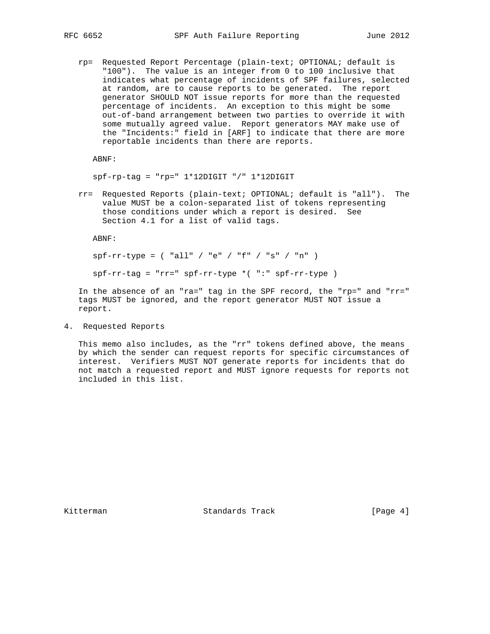rp= Requested Report Percentage (plain-text; OPTIONAL; default is "100"). The value is an integer from 0 to 100 inclusive that indicates what percentage of incidents of SPF failures, selected at random, are to cause reports to be generated. The report generator SHOULD NOT issue reports for more than the requested percentage of incidents. An exception to this might be some out-of-band arrangement between two parties to override it with some mutually agreed value. Report generators MAY make use of the "Incidents:" field in [ARF] to indicate that there are more reportable incidents than there are reports.

ABNF:

 $spf-rp-tag = "rp=" 1*12DIGIT "/* 1*12DIGIT$ 

 rr= Requested Reports (plain-text; OPTIONAL; default is "all"). The value MUST be a colon-separated list of tokens representing those conditions under which a report is desired. See Section 4.1 for a list of valid tags.

ABNF:

 $spf-rr-type = ( "all" / "e" / "f" / "s" / "n" )$ 

spf-rr-tag = "rr=" spf-rr-type \*( ":" spf-rr-type )

 In the absence of an "ra=" tag in the SPF record, the "rp=" and "rr=" tags MUST be ignored, and the report generator MUST NOT issue a report.

4. Requested Reports

 This memo also includes, as the "rr" tokens defined above, the means by which the sender can request reports for specific circumstances of interest. Verifiers MUST NOT generate reports for incidents that do not match a requested report and MUST ignore requests for reports not included in this list.

Kitterman Standards Track [Page 4]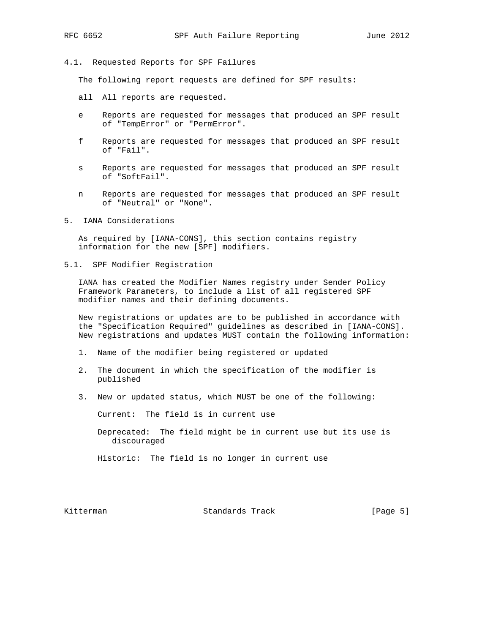#### 4.1. Requested Reports for SPF Failures

The following report requests are defined for SPF results:

- all All reports are requested.
- e Reports are requested for messages that produced an SPF result of "TempError" or "PermError".
- f Reports are requested for messages that produced an SPF result of "Fail".
- s Reports are requested for messages that produced an SPF result of "SoftFail".
- n Reports are requested for messages that produced an SPF result of "Neutral" or "None".
- 5. IANA Considerations

 As required by [IANA-CONS], this section contains registry information for the new [SPF] modifiers.

5.1. SPF Modifier Registration

 IANA has created the Modifier Names registry under Sender Policy Framework Parameters, to include a list of all registered SPF modifier names and their defining documents.

 New registrations or updates are to be published in accordance with the "Specification Required" guidelines as described in [IANA-CONS]. New registrations and updates MUST contain the following information:

- 1. Name of the modifier being registered or updated
- 2. The document in which the specification of the modifier is published
- 3. New or updated status, which MUST be one of the following:

Current: The field is in current use

 Deprecated: The field might be in current use but its use is discouraged

Historic: The field is no longer in current use

Kitterman Standards Track [Page 5]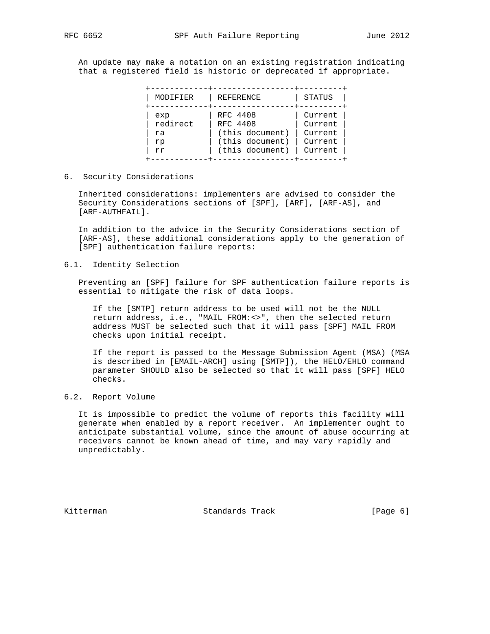An update may make a notation on an existing registration indicating that a registered field is historic or deprecated if appropriate.

| MODIFIER | REFERENCE       | STATUS  |
|----------|-----------------|---------|
| exp      | RFC 4408        | Current |
| redirect | RFC 4408        | Current |
| ra       | (this document) | Current |
| rp       | (this document) | Current |
| rr       | (this document) | Current |

6. Security Considerations

 Inherited considerations: implementers are advised to consider the Security Considerations sections of [SPF], [ARF], [ARF-AS], and [ARF-AUTHFAIL].

 In addition to the advice in the Security Considerations section of [ARF-AS], these additional considerations apply to the generation of [SPF] authentication failure reports:

### 6.1. Identity Selection

 Preventing an [SPF] failure for SPF authentication failure reports is essential to mitigate the risk of data loops.

 If the [SMTP] return address to be used will not be the NULL return address, i.e., "MAIL FROM:<>", then the selected return address MUST be selected such that it will pass [SPF] MAIL FROM checks upon initial receipt.

 If the report is passed to the Message Submission Agent (MSA) (MSA is described in [EMAIL-ARCH] using [SMTP]), the HELO/EHLO command parameter SHOULD also be selected so that it will pass [SPF] HELO checks.

# 6.2. Report Volume

 It is impossible to predict the volume of reports this facility will generate when enabled by a report receiver. An implementer ought to anticipate substantial volume, since the amount of abuse occurring at receivers cannot be known ahead of time, and may vary rapidly and unpredictably.

Kitterman Standards Track [Page 6]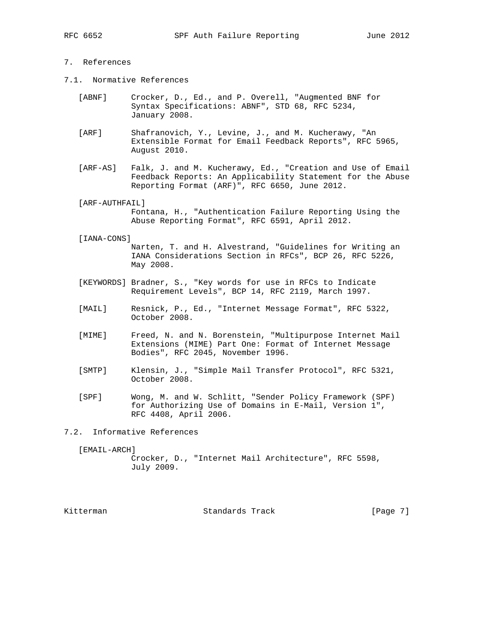## 7. References

- 7.1. Normative References
	- [ABNF] Crocker, D., Ed., and P. Overell, "Augmented BNF for Syntax Specifications: ABNF", STD 68, RFC 5234, January 2008.
	- [ARF] Shafranovich, Y., Levine, J., and M. Kucherawy, "An Extensible Format for Email Feedback Reports", RFC 5965, August 2010.
	- [ARF-AS] Falk, J. and M. Kucherawy, Ed., "Creation and Use of Email Feedback Reports: An Applicability Statement for the Abuse Reporting Format (ARF)", RFC 6650, June 2012.
	- [ARF-AUTHFAIL] Fontana, H., "Authentication Failure Reporting Using the Abuse Reporting Format", RFC 6591, April 2012.
	- [IANA-CONS]

 Narten, T. and H. Alvestrand, "Guidelines for Writing an IANA Considerations Section in RFCs", BCP 26, RFC 5226, May 2008.

- [KEYWORDS] Bradner, S., "Key words for use in RFCs to Indicate Requirement Levels", BCP 14, RFC 2119, March 1997.
- [MAIL] Resnick, P., Ed., "Internet Message Format", RFC 5322, October 2008.
- [MIME] Freed, N. and N. Borenstein, "Multipurpose Internet Mail Extensions (MIME) Part One: Format of Internet Message Bodies", RFC 2045, November 1996.
- [SMTP] Klensin, J., "Simple Mail Transfer Protocol", RFC 5321, October 2008.
- [SPF] Wong, M. and W. Schlitt, "Sender Policy Framework (SPF) for Authorizing Use of Domains in E-Mail, Version 1", RFC 4408, April 2006.

7.2. Informative References

[EMAIL-ARCH]

 Crocker, D., "Internet Mail Architecture", RFC 5598, July 2009.

Kitterman Standards Track [Page 7]